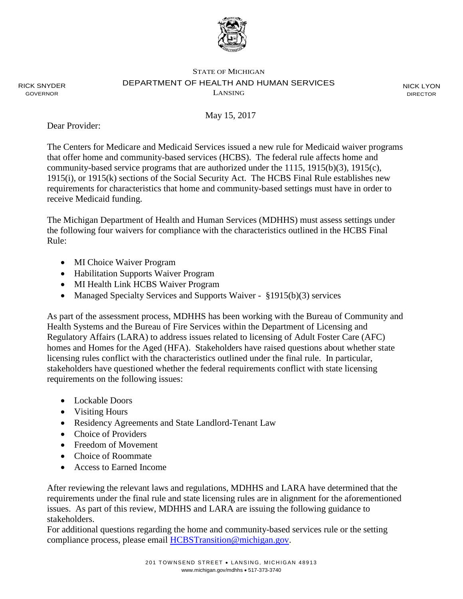

### STATE OF MICHIGAN DEPARTMENT OF HEALTH AND HUMAN SERVICES LANSING

NICK LYON DIRECTOR

May 15, 2017

Dear Provider:

RICK SNYDER GOVERNOR

> The Centers for Medicare and Medicaid Services issued a new rule for Medicaid waiver programs that offer home and community-based services (HCBS). The federal rule affects home and community-based service programs that are authorized under the 1115, 1915(b)(3), 1915(c), 1915(i), or 1915(k) sections of the Social Security Act. The HCBS Final Rule establishes new requirements for characteristics that home and community-based settings must have in order to receive Medicaid funding.

The Michigan Department of Health and Human Services (MDHHS) must assess settings under the following four waivers for compliance with the characteristics outlined in the HCBS Final Rule:

- MI Choice Waiver Program
- Habilitation Supports Waiver Program
- MI Health Link HCBS Waiver Program
- Managed Specialty Services and Supports Waiver §1915(b)(3) services

As part of the assessment process, MDHHS has been working with the Bureau of Community and Health Systems and the Bureau of Fire Services within the Department of Licensing and Regulatory Affairs (LARA) to address issues related to licensing of Adult Foster Care (AFC) homes and Homes for the Aged (HFA). Stakeholders have raised questions about whether state licensing rules conflict with the characteristics outlined under the final rule. In particular, stakeholders have questioned whether the federal requirements conflict with state licensing requirements on the following issues:

- Lockable Doors
- Visiting Hours
- Residency Agreements and State Landlord-Tenant Law
- Choice of Providers
- Freedom of Movement
- Choice of Roommate
- Access to Earned Income

After reviewing the relevant laws and regulations, MDHHS and LARA have determined that the requirements under the final rule and state licensing rules are in alignment for the aforementioned issues. As part of this review, MDHHS and LARA are issuing the following guidance to stakeholders.

For additional questions regarding the home and community-based services rule or the setting compliance process, please email [HCBSTransition@michigan.gov.](mailto:HCBSTransition@michigan.gov)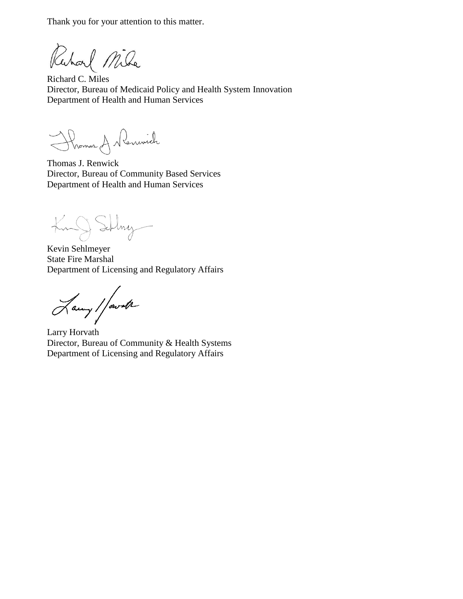Thank you for your attention to this matter.

Ruhard Mila

Richard C. Miles Director, Bureau of Medicaid Policy and Health System Innovation Department of Health and Human Services

Thomas A Nemwich

Thomas J. Renwick Director, Bureau of Community Based Services Department of Health and Human Services

King Silvy

Kevin Sehlmeyer State Fire Marshal Department of Licensing and Regulatory Affairs

Lawy / fourth

Larry Horvath Director, Bureau of Community & Health Systems Department of Licensing and Regulatory Affairs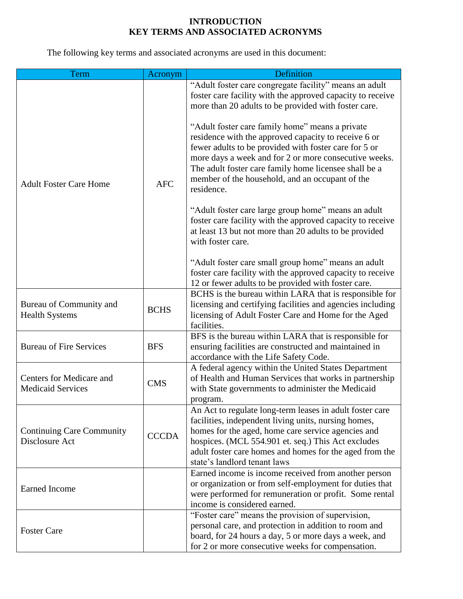## **INTRODUCTION KEY TERMS AND ASSOCIATED ACRONYMS**

The following key terms and associated acronyms are used in this document:

| Term                                                 | Acronym      | Definition                                                                                                                                                                                                                                                                                                                                          |
|------------------------------------------------------|--------------|-----------------------------------------------------------------------------------------------------------------------------------------------------------------------------------------------------------------------------------------------------------------------------------------------------------------------------------------------------|
| <b>Adult Foster Care Home</b>                        | <b>AFC</b>   | "Adult foster care congregate facility" means an adult<br>foster care facility with the approved capacity to receive<br>more than 20 adults to be provided with foster care.                                                                                                                                                                        |
|                                                      |              | "Adult foster care family home" means a private<br>residence with the approved capacity to receive 6 or<br>fewer adults to be provided with foster care for 5 or<br>more days a week and for 2 or more consecutive weeks.<br>The adult foster care family home licensee shall be a<br>member of the household, and an occupant of the<br>residence. |
|                                                      |              | "Adult foster care large group home" means an adult<br>foster care facility with the approved capacity to receive<br>at least 13 but not more than 20 adults to be provided<br>with foster care.                                                                                                                                                    |
|                                                      |              | "Adult foster care small group home" means an adult<br>foster care facility with the approved capacity to receive<br>12 or fewer adults to be provided with foster care.                                                                                                                                                                            |
| Bureau of Community and<br><b>Health Systems</b>     | <b>BCHS</b>  | BCHS is the bureau within LARA that is responsible for<br>licensing and certifying facilities and agencies including<br>licensing of Adult Foster Care and Home for the Aged<br>facilities.                                                                                                                                                         |
| <b>Bureau of Fire Services</b>                       | <b>BFS</b>   | BFS is the bureau within LARA that is responsible for<br>ensuring facilities are constructed and maintained in<br>accordance with the Life Safety Code.                                                                                                                                                                                             |
| Centers for Medicare and<br><b>Medicaid Services</b> | <b>CMS</b>   | A federal agency within the United States Department<br>of Health and Human Services that works in partnership<br>with State governments to administer the Medicaid<br>program.                                                                                                                                                                     |
| <b>Continuing Care Community</b><br>Disclosure Act   | <b>CCCDA</b> | An Act to regulate long-term leases in adult foster care<br>facilities, independent living units, nursing homes,<br>homes for the aged, home care service agencies and<br>hospices. (MCL 554.901 et. seq.) This Act excludes<br>adult foster care homes and homes for the aged from the<br>state's landlord tenant laws                             |
| <b>Earned Income</b>                                 |              | Earned income is income received from another person<br>or organization or from self-employment for duties that<br>were performed for remuneration or profit. Some rental<br>income is considered earned.                                                                                                                                           |
| <b>Foster Care</b>                                   |              | "Foster care" means the provision of supervision,<br>personal care, and protection in addition to room and<br>board, for 24 hours a day, 5 or more days a week, and<br>for 2 or more consecutive weeks for compensation.                                                                                                                            |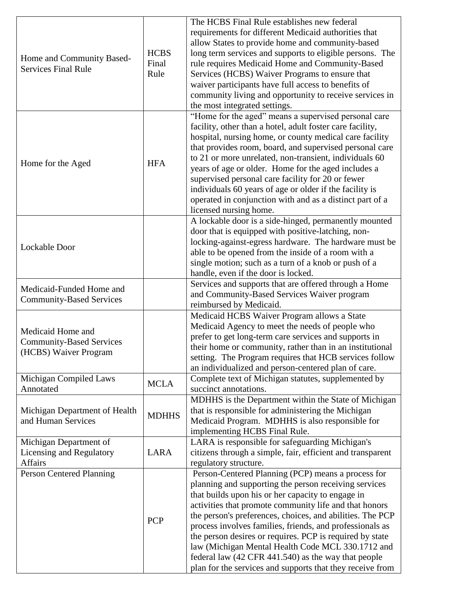| Home and Community Based-<br><b>Services Final Rule</b>                       | <b>HCBS</b><br>Final<br>Rule | The HCBS Final Rule establishes new federal<br>requirements for different Medicaid authorities that<br>allow States to provide home and community-based<br>long term services and supports to eligible persons. The<br>rule requires Medicaid Home and Community-Based<br>Services (HCBS) Waiver Programs to ensure that<br>waiver participants have full access to benefits of<br>community living and opportunity to receive services in<br>the most integrated settings.                                                                                                              |
|-------------------------------------------------------------------------------|------------------------------|------------------------------------------------------------------------------------------------------------------------------------------------------------------------------------------------------------------------------------------------------------------------------------------------------------------------------------------------------------------------------------------------------------------------------------------------------------------------------------------------------------------------------------------------------------------------------------------|
| Home for the Aged                                                             | <b>HFA</b>                   | "Home for the aged" means a supervised personal care<br>facility, other than a hotel, adult foster care facility,<br>hospital, nursing home, or county medical care facility<br>that provides room, board, and supervised personal care<br>to 21 or more unrelated, non-transient, individuals 60<br>years of age or older. Home for the aged includes a<br>supervised personal care facility for 20 or fewer<br>individuals 60 years of age or older if the facility is<br>operated in conjunction with and as a distinct part of a<br>licensed nursing home.                           |
| Lockable Door                                                                 |                              | A lockable door is a side-hinged, permanently mounted<br>door that is equipped with positive-latching, non-<br>locking-against-egress hardware. The hardware must be<br>able to be opened from the inside of a room with a<br>single motion; such as a turn of a knob or push of a<br>handle, even if the door is locked.                                                                                                                                                                                                                                                                |
| Medicaid-Funded Home and<br><b>Community-Based Services</b>                   |                              | Services and supports that are offered through a Home<br>and Community-Based Services Waiver program<br>reimbursed by Medicaid.                                                                                                                                                                                                                                                                                                                                                                                                                                                          |
| Medicaid Home and<br><b>Community-Based Services</b><br>(HCBS) Waiver Program |                              | Medicaid HCBS Waiver Program allows a State<br>Medicaid Agency to meet the needs of people who<br>prefer to get long-term care services and supports in<br>their home or community, rather than in an institutional<br>setting. The Program requires that HCB services follow<br>an individualized and person-centered plan of care.                                                                                                                                                                                                                                                     |
| Michigan Compiled Laws<br>Annotated                                           | <b>MCLA</b>                  | Complete text of Michigan statutes, supplemented by<br>succinct annotations.                                                                                                                                                                                                                                                                                                                                                                                                                                                                                                             |
| Michigan Department of Health<br>and Human Services                           | <b>MDHHS</b>                 | MDHHS is the Department within the State of Michigan<br>that is responsible for administering the Michigan<br>Medicaid Program. MDHHS is also responsible for<br>implementing HCBS Final Rule.                                                                                                                                                                                                                                                                                                                                                                                           |
| Michigan Department of<br>Licensing and Regulatory<br>Affairs                 | LARA                         | LARA is responsible for safeguarding Michigan's<br>citizens through a simple, fair, efficient and transparent<br>regulatory structure.                                                                                                                                                                                                                                                                                                                                                                                                                                                   |
| Person Centered Planning                                                      | <b>PCP</b>                   | Person-Centered Planning (PCP) means a process for<br>planning and supporting the person receiving services<br>that builds upon his or her capacity to engage in<br>activities that promote community life and that honors<br>the person's preferences, choices, and abilities. The PCP<br>process involves families, friends, and professionals as<br>the person desires or requires. PCP is required by state<br>law (Michigan Mental Health Code MCL 330.1712 and<br>federal law (42 CFR 441.540) as the way that people<br>plan for the services and supports that they receive from |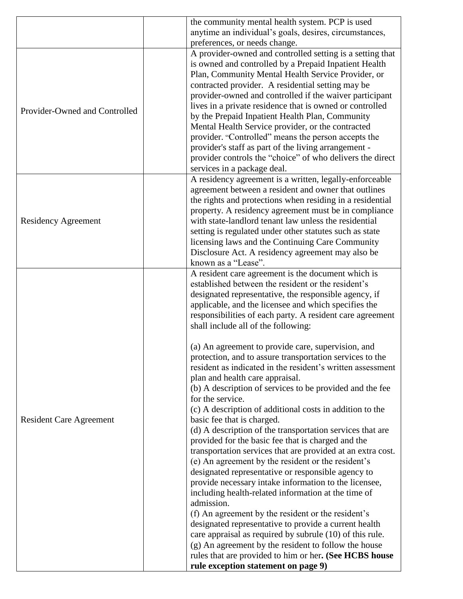|                                | the community mental health system. PCP is used             |
|--------------------------------|-------------------------------------------------------------|
|                                | anytime an individual's goals, desires, circumstances,      |
|                                | preferences, or needs change.                               |
|                                | A provider-owned and controlled setting is a setting that   |
|                                | is owned and controlled by a Prepaid Inpatient Health       |
|                                | Plan, Community Mental Health Service Provider, or          |
|                                | contracted provider. A residential setting may be           |
|                                | provider-owned and controlled if the waiver participant     |
| Provider-Owned and Controlled  | lives in a private residence that is owned or controlled    |
|                                | by the Prepaid Inpatient Health Plan, Community             |
|                                | Mental Health Service provider, or the contracted           |
|                                | provider. "Controlled" means the person accepts the         |
|                                | provider's staff as part of the living arrangement -        |
|                                | provider controls the "choice" of who delivers the direct   |
|                                | services in a package deal.                                 |
|                                | A residency agreement is a written, legally-enforceable     |
|                                | agreement between a resident and owner that outlines        |
|                                | the rights and protections when residing in a residential   |
|                                | property. A residency agreement must be in compliance       |
| <b>Residency Agreement</b>     | with state-landlord tenant law unless the residential       |
|                                | setting is regulated under other statutes such as state     |
|                                | licensing laws and the Continuing Care Community            |
|                                | Disclosure Act. A residency agreement may also be           |
|                                | known as a "Lease".                                         |
|                                | A resident care agreement is the document which is          |
|                                | established between the resident or the resident's          |
|                                | designated representative, the responsible agency, if       |
|                                | applicable, and the licensee and which specifies the        |
|                                | responsibilities of each party. A resident care agreement   |
|                                | shall include all of the following:                         |
|                                | (a) An agreement to provide care, supervision, and          |
|                                | protection, and to assure transportation services to the    |
|                                | resident as indicated in the resident's written assessment  |
|                                | plan and health care appraisal.                             |
|                                | (b) A description of services to be provided and the fee    |
|                                | for the service.                                            |
| <b>Resident Care Agreement</b> | (c) A description of additional costs in addition to the    |
|                                | basic fee that is charged.                                  |
|                                | (d) A description of the transportation services that are   |
|                                | provided for the basic fee that is charged and the          |
|                                | transportation services that are provided at an extra cost. |
|                                | (e) An agreement by the resident or the resident's          |
|                                | designated representative or responsible agency to          |
|                                | provide necessary intake information to the licensee,       |
|                                | including health-related information at the time of         |
|                                | admission.                                                  |
|                                | (f) An agreement by the resident or the resident's          |
|                                | designated representative to provide a current health       |
|                                | care appraisal as required by subrule (10) of this rule.    |
|                                | (g) An agreement by the resident to follow the house        |
|                                | rules that are provided to him or her. (See HCBS house      |
|                                | rule exception statement on page 9)                         |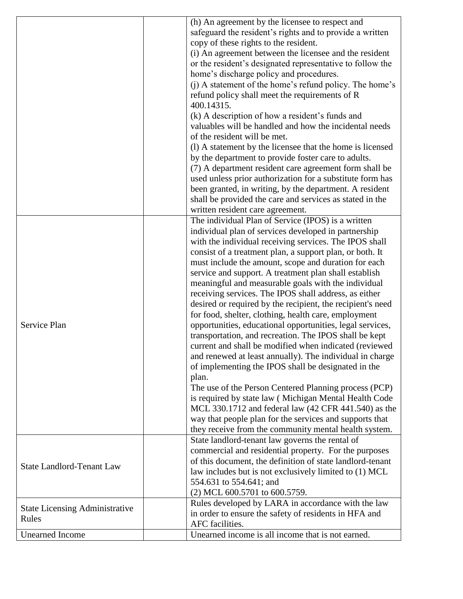|                                       | (h) An agreement by the licensee to respect and            |
|---------------------------------------|------------------------------------------------------------|
|                                       | safeguard the resident's rights and to provide a written   |
|                                       | copy of these rights to the resident.                      |
|                                       | (i) An agreement between the licensee and the resident     |
|                                       | or the resident's designated representative to follow the  |
|                                       | home's discharge policy and procedures.                    |
|                                       | (i) A statement of the home's refund policy. The home's    |
|                                       | refund policy shall meet the requirements of R             |
|                                       | 400.14315.                                                 |
|                                       | (k) A description of how a resident's funds and            |
|                                       | valuables will be handled and how the incidental needs     |
|                                       | of the resident will be met.                               |
|                                       | (1) A statement by the licensee that the home is licensed  |
|                                       | by the department to provide foster care to adults.        |
|                                       | (7) A department resident care agreement form shall be     |
|                                       | used unless prior authorization for a substitute form has  |
|                                       | been granted, in writing, by the department. A resident    |
|                                       | shall be provided the care and services as stated in the   |
|                                       | written resident care agreement.                           |
|                                       | The individual Plan of Service (IPOS) is a written         |
|                                       | individual plan of services developed in partnership       |
|                                       | with the individual receiving services. The IPOS shall     |
|                                       | consist of a treatment plan, a support plan, or both. It   |
|                                       | must include the amount, scope and duration for each       |
|                                       | service and support. A treatment plan shall establish      |
|                                       | meaningful and measurable goals with the individual        |
|                                       | receiving services. The IPOS shall address, as either      |
|                                       | desired or required by the recipient, the recipient's need |
|                                       | for food, shelter, clothing, health care, employment       |
| Service Plan                          | opportunities, educational opportunities, legal services,  |
|                                       | transportation, and recreation. The IPOS shall be kept     |
|                                       | current and shall be modified when indicated (reviewed     |
|                                       | and renewed at least annually). The individual in charge   |
|                                       | of implementing the IPOS shall be designated in the        |
|                                       | plan.                                                      |
|                                       | The use of the Person Centered Planning process (PCP)      |
|                                       | is required by state law (Michigan Mental Health Code      |
|                                       | MCL 330.1712 and federal law (42 CFR 441.540) as the       |
|                                       | way that people plan for the services and supports that    |
|                                       | they receive from the community mental health system.      |
|                                       | State landlord-tenant law governs the rental of            |
|                                       | commercial and residential property. For the purposes      |
| <b>State Landlord-Tenant Law</b>      | of this document, the definition of state landlord-tenant  |
|                                       | law includes but is not exclusively limited to (1) MCL     |
|                                       | 554.631 to 554.641; and                                    |
|                                       | (2) MCL 600.5701 to 600.5759.                              |
| <b>State Licensing Administrative</b> | Rules developed by LARA in accordance with the law         |
| Rules                                 | in order to ensure the safety of residents in HFA and      |
|                                       | AFC facilities.                                            |
| <b>Unearned Income</b>                | Unearned income is all income that is not earned.          |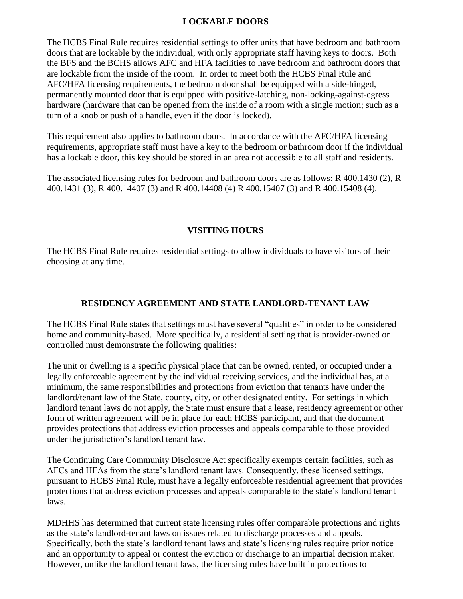### **LOCKABLE DOORS**

The HCBS Final Rule requires residential settings to offer units that have bedroom and bathroom doors that are lockable by the individual, with only appropriate staff having keys to doors. Both the BFS and the BCHS allows AFC and HFA facilities to have bedroom and bathroom doors that are lockable from the inside of the room. In order to meet both the HCBS Final Rule and AFC/HFA licensing requirements, the bedroom door shall be equipped with a side-hinged, permanently mounted door that is equipped with positive-latching, non-locking-against-egress hardware (hardware that can be opened from the inside of a room with a single motion; such as a turn of a knob or push of a handle, even if the door is locked).

This requirement also applies to bathroom doors. In accordance with the AFC/HFA licensing requirements, appropriate staff must have a key to the bedroom or bathroom door if the individual has a lockable door, this key should be stored in an area not accessible to all staff and residents.

The associated licensing rules for bedroom and bathroom doors are as follows: R 400.1430 (2), R 400.1431 (3), R 400.14407 (3) and R 400.14408 (4) R 400.15407 (3) and R 400.15408 (4).

## **VISITING HOURS**

The HCBS Final Rule requires residential settings to allow individuals to have visitors of their choosing at any time.

## **RESIDENCY AGREEMENT AND STATE LANDLORD-TENANT LAW**

The HCBS Final Rule states that settings must have several "qualities" in order to be considered home and community-based. More specifically, a residential setting that is provider-owned or controlled must demonstrate the following qualities:

The unit or dwelling is a specific physical place that can be owned, rented, or occupied under a legally enforceable agreement by the individual receiving services, and the individual has, at a minimum, the same responsibilities and protections from eviction that tenants have under the landlord/tenant law of the State, county, city, or other designated entity. For settings in which landlord tenant laws do not apply, the State must ensure that a lease, residency agreement or other form of written agreement will be in place for each HCBS participant, and that the document provides protections that address eviction processes and appeals comparable to those provided under the jurisdiction's landlord tenant law.

The Continuing Care Community Disclosure Act specifically exempts certain facilities, such as AFCs and HFAs from the state's landlord tenant laws. Consequently, these licensed settings, pursuant to HCBS Final Rule, must have a legally enforceable residential agreement that provides protections that address eviction processes and appeals comparable to the state's landlord tenant laws.

MDHHS has determined that current state licensing rules offer comparable protections and rights as the state's landlord-tenant laws on issues related to discharge processes and appeals. Specifically, both the state's landlord tenant laws and state's licensing rules require prior notice and an opportunity to appeal or contest the eviction or discharge to an impartial decision maker. However, unlike the landlord tenant laws, the licensing rules have built in protections to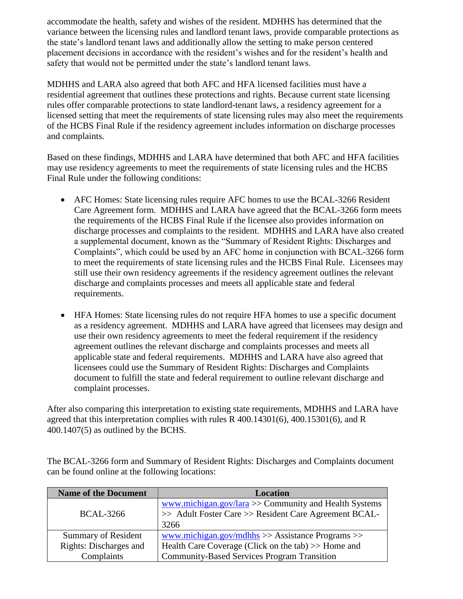accommodate the health, safety and wishes of the resident. MDHHS has determined that the variance between the licensing rules and landlord tenant laws, provide comparable protections as the state's landlord tenant laws and additionally allow the setting to make person centered placement decisions in accordance with the resident's wishes and for the resident's health and safety that would not be permitted under the state's landlord tenant laws.

MDHHS and LARA also agreed that both AFC and HFA licensed facilities must have a residential agreement that outlines these protections and rights. Because current state licensing rules offer comparable protections to state landlord-tenant laws, a residency agreement for a licensed setting that meet the requirements of state licensing rules may also meet the requirements of the HCBS Final Rule if the residency agreement includes information on discharge processes and complaints.

Based on these findings, MDHHS and LARA have determined that both AFC and HFA facilities may use residency agreements to meet the requirements of state licensing rules and the HCBS Final Rule under the following conditions:

- AFC Homes: State licensing rules require AFC homes to use the BCAL-3266 Resident Care Agreement form. MDHHS and LARA have agreed that the BCAL-3266 form meets the requirements of the HCBS Final Rule if the licensee also provides information on discharge processes and complaints to the resident. MDHHS and LARA have also created a supplemental document, known as the "Summary of Resident Rights: Discharges and Complaints", which could be used by an AFC home in conjunction with BCAL-3266 form to meet the requirements of state licensing rules and the HCBS Final Rule. Licensees may still use their own residency agreements if the residency agreement outlines the relevant discharge and complaints processes and meets all applicable state and federal requirements.
- HFA Homes: State licensing rules do not require HFA homes to use a specific document as a residency agreement. MDHHS and LARA have agreed that licensees may design and use their own residency agreements to meet the federal requirement if the residency agreement outlines the relevant discharge and complaints processes and meets all applicable state and federal requirements. MDHHS and LARA have also agreed that licensees could use the Summary of Resident Rights: Discharges and Complaints document to fulfill the state and federal requirement to outline relevant discharge and complaint processes.

After also comparing this interpretation to existing state requirements, MDHHS and LARA have agreed that this interpretation complies with rules R  $400.14301(6)$ ,  $400.15301(6)$ , and R 400.1407(5) as outlined by the BCHS.

The BCAL-3266 form and Summary of Resident Rights: Discharges and Complaints document can be found online at the following locations:

| <b>Name of the Document</b> | <b>Location</b>                                        |
|-----------------------------|--------------------------------------------------------|
|                             | www.michigan.gov/lara >> Community and Health Systems  |
| <b>BCAL-3266</b>            | >> Adult Foster Care >> Resident Care Agreement BCAL-  |
|                             | 3266                                                   |
| <b>Summary of Resident</b>  | www.michigan.gov/mdhhs $\gg$ Assistance Programs $\gg$ |
| Rights: Discharges and      | Health Care Coverage (Click on the tab) >> Home and    |
| Complaints                  | <b>Community-Based Services Program Transition</b>     |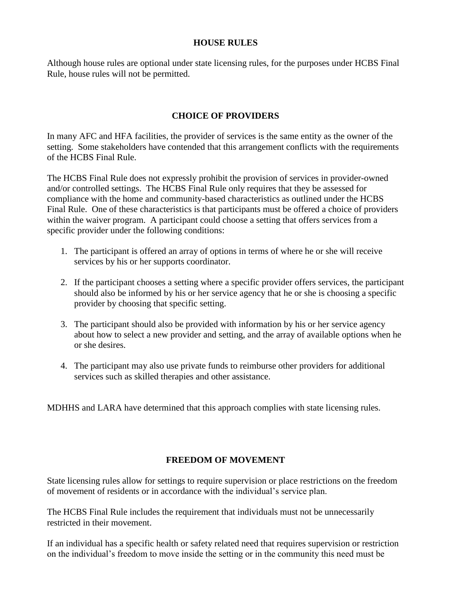#### **HOUSE RULES**

Although house rules are optional under state licensing rules, for the purposes under HCBS Final Rule, house rules will not be permitted.

### **CHOICE OF PROVIDERS**

In many AFC and HFA facilities, the provider of services is the same entity as the owner of the setting. Some stakeholders have contended that this arrangement conflicts with the requirements of the HCBS Final Rule.

The HCBS Final Rule does not expressly prohibit the provision of services in provider-owned and/or controlled settings. The HCBS Final Rule only requires that they be assessed for compliance with the home and community-based characteristics as outlined under the HCBS Final Rule. One of these characteristics is that participants must be offered a choice of providers within the waiver program. A participant could choose a setting that offers services from a specific provider under the following conditions:

- 1. The participant is offered an array of options in terms of where he or she will receive services by his or her supports coordinator.
- 2. If the participant chooses a setting where a specific provider offers services, the participant should also be informed by his or her service agency that he or she is choosing a specific provider by choosing that specific setting.
- 3. The participant should also be provided with information by his or her service agency about how to select a new provider and setting, and the array of available options when he or she desires.
- 4. The participant may also use private funds to reimburse other providers for additional services such as skilled therapies and other assistance.

MDHHS and LARA have determined that this approach complies with state licensing rules.

## **FREEDOM OF MOVEMENT**

State licensing rules allow for settings to require supervision or place restrictions on the freedom of movement of residents or in accordance with the individual's service plan.

The HCBS Final Rule includes the requirement that individuals must not be unnecessarily restricted in their movement.

If an individual has a specific health or safety related need that requires supervision or restriction on the individual's freedom to move inside the setting or in the community this need must be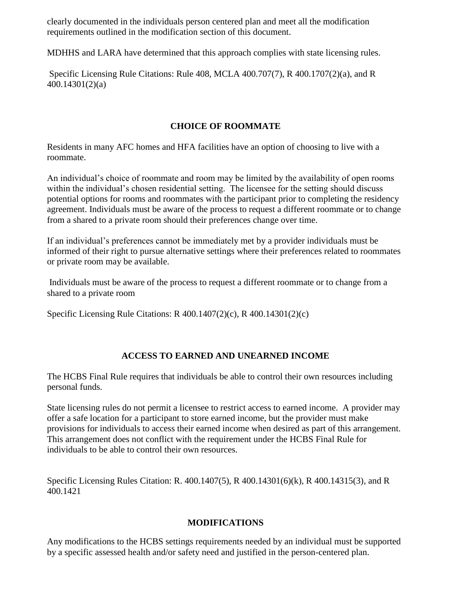clearly documented in the individuals person centered plan and meet all the modification requirements outlined in the modification section of this document.

MDHHS and LARA have determined that this approach complies with state licensing rules.

Specific Licensing Rule Citations: Rule 408, MCLA 400.707(7), R 400.1707(2)(a), and R 400.14301(2)(a)

## **CHOICE OF ROOMMATE**

Residents in many AFC homes and HFA facilities have an option of choosing to live with a roommate.

An individual's choice of roommate and room may be limited by the availability of open rooms within the individual's chosen residential setting. The licensee for the setting should discuss potential options for rooms and roommates with the participant prior to completing the residency agreement. Individuals must be aware of the process to request a different roommate or to change from a shared to a private room should their preferences change over time.

If an individual's preferences cannot be immediately met by a provider individuals must be informed of their right to pursue alternative settings where their preferences related to roommates or private room may be available.

Individuals must be aware of the process to request a different roommate or to change from a shared to a private room

Specific Licensing Rule Citations: R 400.1407(2)(c), R 400.14301(2)(c)

## **ACCESS TO EARNED AND UNEARNED INCOME**

The HCBS Final Rule requires that individuals be able to control their own resources including personal funds.

State licensing rules do not permit a licensee to restrict access to earned income. A provider may offer a safe location for a participant to store earned income, but the provider must make provisions for individuals to access their earned income when desired as part of this arrangement. This arrangement does not conflict with the requirement under the HCBS Final Rule for individuals to be able to control their own resources.

Specific Licensing Rules Citation: R. 400.1407(5), R 400.14301(6)(k), R 400.14315(3), and R 400.1421

# **MODIFICATIONS**

Any modifications to the HCBS settings requirements needed by an individual must be supported by a specific assessed health and/or safety need and justified in the person-centered plan.